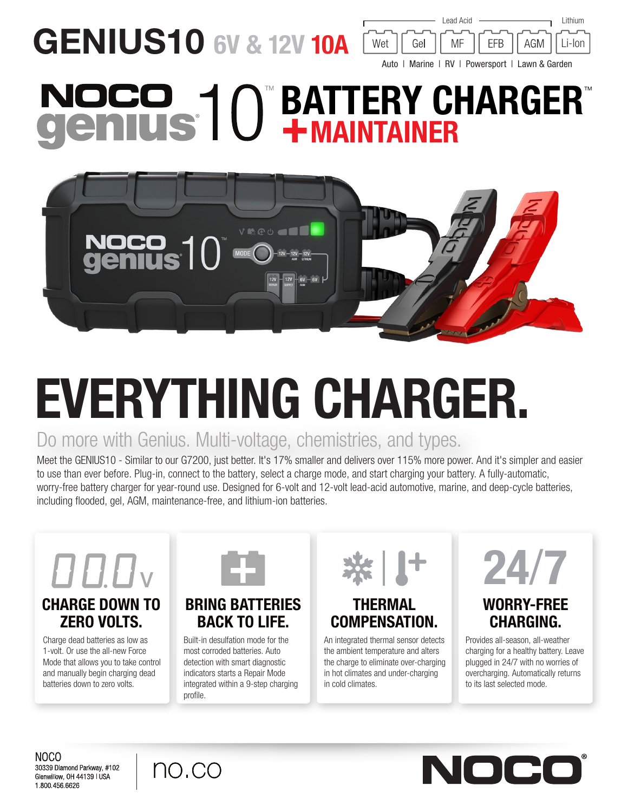**GENIUS10 6V & 12V 10A** 



# **BATTERY CHARGER®** +MAINTAINER



# EVERYTHING CHARGER.

## Do more with Genius. Multi-voltage, chemistries, and types.

Meet the GENIUS10 - Similar to our G7200, just better. It's 17% smaller and delivers over 115% more power. And it's simpler and easier to use than ever before. Plug-in, connect to the battery, select a charge mode, and start charging your battery. A fully-automatic, worry-free battery charger for year-round use. Designed for 6-volt and 12-volt lead-acid automotive, marine, and deep-cycle batteries, including flooded, gel, AGM, maintenance-free, and lithium-ion batteries.



## CHARGE DOWN TO ZERO VOLTS.

Charge dead batteries as low as 1-volt. Or use the all-new Force Mode that allows you to take control and manually begin charging dead batteries down to zero volts.



#### BRING BATTERIES BACK TO LIFE.

Built-in desulfation mode for the most corroded batteries. Auto detection with smart diagnostic indicators starts a Repair Mode integrated within a 9-step charging profile.



## THERMAL COMPENSATION.

An integrated thermal sensor detects the ambient temperature and alters the charge to eliminate over-charging in hot climates and under-charging in cold climates.



## WORRY-FREE CHARGING.

Provides all-season, all-weather charging for a healthy battery. Leave plugged in 24/7 with no worries of overcharging. Automatically returns to its last selected mode.

NOCO 30339 Diamond Parkway, #102 Glenwillow, OH 44139 | USA 1.800.456.6626